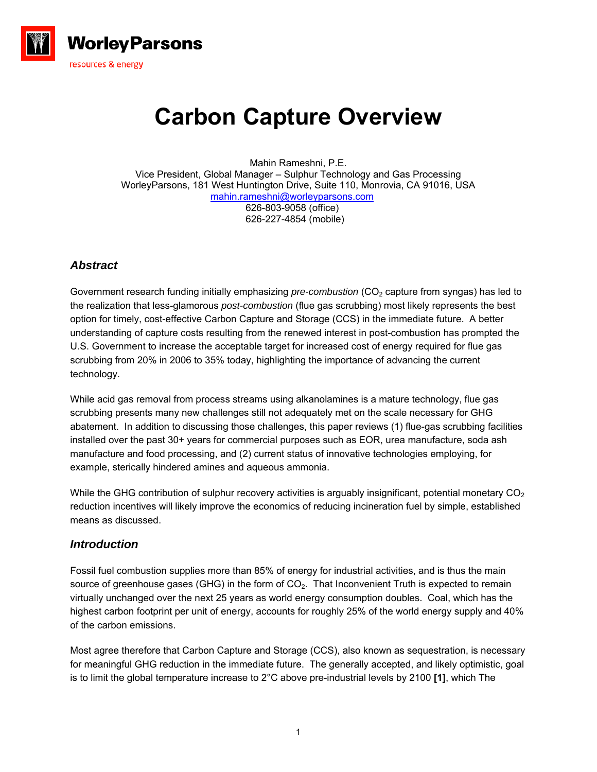

# **Carbon Capture Overview**

Mahin Rameshni, P.E. Vice President, Global Manager – Sulphur Technology and Gas Processing WorleyParsons, 181 West Huntington Drive, Suite 110, Monrovia, CA 91016, USA [mahin.rameshni@worleyparsons.com](mailto:mahin.rameshni@worleyparsons.com) 626-803-9058 (office) 626-227-4854 (mobile)

# *Abstract*

Government research funding initially emphasizing *pre-combustion* (CO<sub>2</sub> capture from syngas) has led to the realization that less-glamorous *post-combustion* (flue gas scrubbing) most likely represents the best option for timely, cost-effective Carbon Capture and Storage (CCS) in the immediate future. A better understanding of capture costs resulting from the renewed interest in post-combustion has prompted the U.S. Government to increase the acceptable target for increased cost of energy required for flue gas scrubbing from 20% in 2006 to 35% today, highlighting the importance of advancing the current technology.

While acid gas removal from process streams using alkanolamines is a mature technology, flue gas scrubbing presents many new challenges still not adequately met on the scale necessary for GHG abatement. In addition to discussing those challenges, this paper reviews (1) flue-gas scrubbing facilities installed over the past 30+ years for commercial purposes such as EOR, urea manufacture, soda ash manufacture and food processing, and (2) current status of innovative technologies employing, for example, sterically hindered amines and aqueous ammonia.

While the GHG contribution of sulphur recovery activities is arguably insignificant, potential monetary  $CO<sub>2</sub>$ reduction incentives will likely improve the economics of reducing incineration fuel by simple, established means as discussed.

## *Introduction*

Fossil fuel combustion supplies more than 85% of energy for industrial activities, and is thus the main source of greenhouse gases (GHG) in the form of CO<sub>2</sub>. That Inconvenient Truth is expected to remain virtually unchanged over the next 25 years as world energy consumption doubles. Coal, which has the highest carbon footprint per unit of energy, accounts for roughly 25% of the world energy supply and 40% of the carbon emissions.

Most agree therefore that Carbon Capture and Storage (CCS), also known as sequestration, is necessary for meaningful GHG reduction in the immediate future. The generally accepted, and likely optimistic, goal is to limit the global temperature increase to 2°C above pre-industrial levels by 2100 **[1]**, which The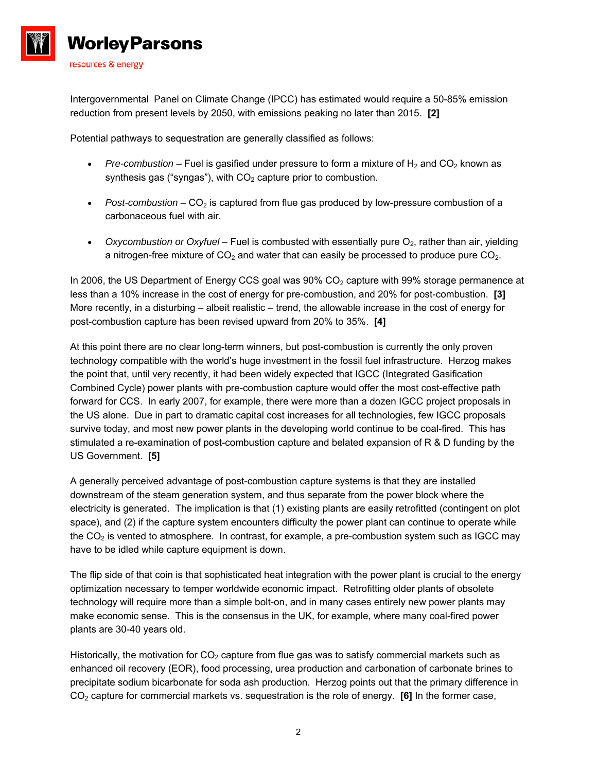

Intergovernmental Panel on Climate Change (IPCC) has estimated would require a 50-85% emission reduction from present levels by 2050, with emissions peaking no later than 2015. **[2]**

Potential pathways to sequestration are generally classified as follows:

- **•** Pre-combustion Fuel is gasified under pressure to form a mixture of  $H_2$  and  $CO_2$  known as synthesis gas ("syngas"), with  $CO<sub>2</sub>$  capture prior to combustion.
- **Post-combustion**  $CO<sub>2</sub>$  is captured from flue gas produced by low-pressure combustion of a carbonaceous fuel with air.
- Oxycombustion or Oxyfuel Fuel is combusted with essentially pure O<sub>2</sub>, rather than air, yielding a nitrogen-free mixture of  $CO<sub>2</sub>$  and water that can easily be processed to produce pure  $CO<sub>2</sub>$ .

In 2006, the US Department of Energy CCS goal was  $90\%$  CO<sub>2</sub> capture with  $99\%$  storage permanence at less than a 10% increase in the cost of energy for pre-combustion, and 20% for post-combustion. **[3]** More recently, in a disturbing – albeit realistic – trend, the allowable increase in the cost of energy for post-combustion capture has been revised upward from 20% to 35%. **[4]** 

At this point there are no clear long-term winners, but post-combustion is currently the only proven technology compatible with the world's huge investment in the fossil fuel infrastructure. Herzog makes the point that, until very recently, it had been widely expected that IGCC (Integrated Gasification Combined Cycle) power plants with pre-combustion capture would offer the most cost-effective path forward for CCS. In early 2007, for example, there were more than a dozen IGCC project proposals in the US alone. Due in part to dramatic capital cost increases for all technologies, few IGCC proposals survive today, and most new power plants in the developing world continue to be coal-fired. This has stimulated a re-examination of post-combustion capture and belated expansion of R & D funding by the US Government. **[5]**

A generally perceived advantage of post-combustion capture systems is that they are installed downstream of the steam generation system, and thus separate from the power block where the electricity is generated. The implication is that (1) existing plants are easily retrofitted (contingent on plot space), and (2) if the capture system encounters difficulty the power plant can continue to operate while the  $CO<sub>2</sub>$  is vented to atmosphere. In contrast, for example, a pre-combustion system such as IGCC may have to be idled while capture equipment is down.

The flip side of that coin is that sophisticated heat integration with the power plant is crucial to the energy optimization necessary to temper worldwide economic impact. Retrofitting older plants of obsolete technology will require more than a simple bolt-on, and in many cases entirely new power plants may make economic sense. This is the consensus in the UK, for example, where many coal-fired power plants are 30-40 years old.

Historically, the motivation for  $CO<sub>2</sub>$  capture from flue gas was to satisfy commercial markets such as enhanced oil recovery (EOR), food processing, urea production and carbonation of carbonate brines to precipitate sodium bicarbonate for soda ash production. Herzog points out that the primary difference in CO2 capture for commercial markets vs. sequestration is the role of energy. **[6]** In the former case,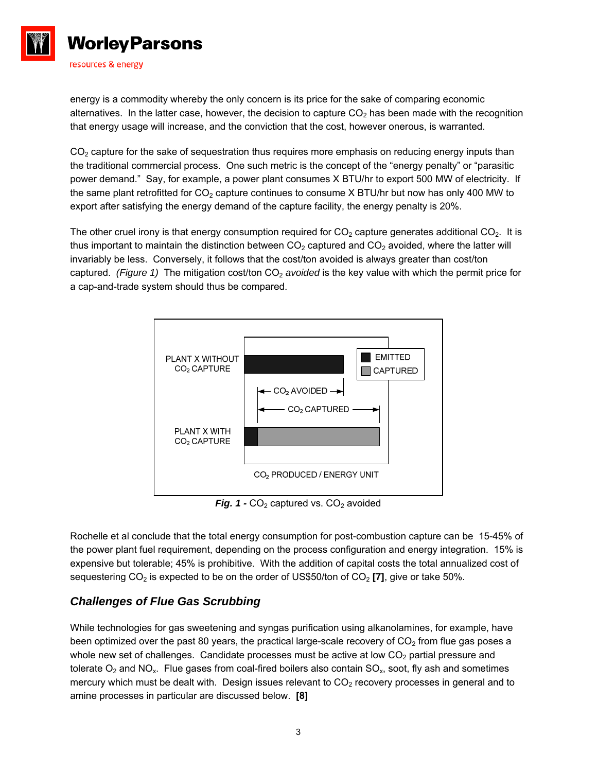

energy is a commodity whereby the only concern is its price for the sake of comparing economic alternatives. In the latter case, however, the decision to capture  $CO<sub>2</sub>$  has been made with the recognition that energy usage will increase, and the conviction that the cost, however onerous, is warranted.

 $CO<sub>2</sub>$  capture for the sake of sequestration thus requires more emphasis on reducing energy inputs than the traditional commercial process. One such metric is the concept of the "energy penalty" or "parasitic power demand." Say, for example, a power plant consumes X BTU/hr to export 500 MW of electricity. If the same plant retrofitted for  $CO<sub>2</sub>$  capture continues to consume X BTU/hr but now has only 400 MW to export after satisfying the energy demand of the capture facility, the energy penalty is 20%.

The other cruel irony is that energy consumption required for  $CO<sub>2</sub>$  capture generates additional  $CO<sub>2</sub>$ . It is thus important to maintain the distinction between  $CO<sub>2</sub>$  captured and  $CO<sub>2</sub>$  avoided, where the latter will invariably be less. Conversely, it follows that the cost/ton avoided is always greater than cost/ton captured. (Figure 1) The mitigation cost/ton CO<sub>2</sub> avoided is the key value with which the permit price for a cap-and-trade system should thus be compared.



**Fig. 1 -**  $CO<sub>2</sub>$  captured vs.  $CO<sub>2</sub>$  avoided

Rochelle et al conclude that the total energy consumption for post-combustion capture can be 15-45% of the power plant fuel requirement, depending on the process configuration and energy integration. 15% is expensive but tolerable; 45% is prohibitive. With the addition of capital costs the total annualized cost of sequestering CO<sub>2</sub> is expected to be on the order of US\$50/ton of CO<sub>2</sub> [7], give or take 50%.

# *Challenges of Flue Gas Scrubbing*

While technologies for gas sweetening and syngas purification using alkanolamines, for example, have been optimized over the past 80 years, the practical large-scale recovery of  $CO<sub>2</sub>$  from flue gas poses a whole new set of challenges. Candidate processes must be active at low  $CO<sub>2</sub>$  partial pressure and tolerate  $O_2$  and NO<sub>x</sub>. Flue gases from coal-fired boilers also contain SO<sub>x</sub>, soot, fly ash and sometimes mercury which must be dealt with. Design issues relevant to  $CO<sub>2</sub>$  recovery processes in general and to amine processes in particular are discussed below. **[8]**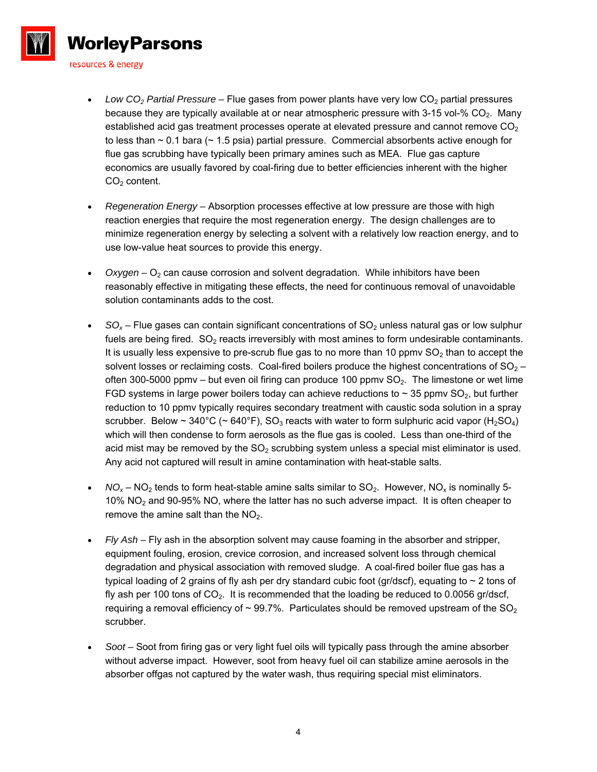

- Low CO<sub>2</sub> Partial Pressure Flue gases from power plants have very low CO<sub>2</sub> partial pressures because they are typically available at or near atmospheric pressure with 3-15 vol-%  $CO<sub>2</sub>$ . Many established acid gas treatment processes operate at elevated pressure and cannot remove  $CO<sub>2</sub>$ to less than  $\sim$  0.1 bara ( $\sim$  1.5 psia) partial pressure. Commercial absorbents active enough for flue gas scrubbing have typically been primary amines such as MEA. Flue gas capture economics are usually favored by coal-firing due to better efficiencies inherent with the higher  $CO<sub>2</sub>$  content.
- *Regeneration Energy –* Absorption processes effective at low pressure are those with high reaction energies that require the most regeneration energy. The design challenges are to minimize regeneration energy by selecting a solvent with a relatively low reaction energy, and to use low-value heat sources to provide this energy.
- *Oxygen* O<sub>2</sub> can cause corrosion and solvent degradation. While inhibitors have been reasonably effective in mitigating these effects, the need for continuous removal of unavoidable solution contaminants adds to the cost.
- $SO<sub>x</sub>$  Flue gases can contain significant concentrations of  $SO<sub>2</sub>$  unless natural gas or low sulphur fuels are being fired.  $SO<sub>2</sub>$  reacts irreversibly with most amines to form undesirable contaminants. It is usually less expensive to pre-scrub flue gas to no more than 10 ppmv  $SO<sub>2</sub>$  than to accept the solvent losses or reclaiming costs. Coal-fired boilers produce the highest concentrations of  $SO<sub>2</sub>$  – often 300-5000 ppmv – but even oil firing can produce 100 ppmv  $SO<sub>2</sub>$ . The limestone or wet lime FGD systems in large power boilers today can achieve reductions to  $\sim$  35 ppmv SO<sub>2</sub>, but further reduction to 10 ppmv typically requires secondary treatment with caustic soda solution in a spray scrubber. Below ~ 340°C (~ 640°F), SO<sub>3</sub> reacts with water to form sulphuric acid vapor (H<sub>2</sub>SO<sub>4</sub>) which will then condense to form aerosols as the flue gas is cooled. Less than one-third of the acid mist may be removed by the  $SO<sub>2</sub>$  scrubbing system unless a special mist eliminator is used. Any acid not captured will result in amine contamination with heat-stable salts.
- $NO<sub>x</sub>$  NO<sub>2</sub> tends to form heat-stable amine salts similar to SO<sub>2</sub>. However, NO<sub>x</sub> is nominally 5-10% NO2 and 90-95% NO, where the latter has no such adverse impact. It is often cheaper to remove the amine salt than the  $NO<sub>2</sub>$ .
- *Fly Ash –* Fly ash in the absorption solvent may cause foaming in the absorber and stripper, equipment fouling, erosion, crevice corrosion, and increased solvent loss through chemical degradation and physical association with removed sludge. A coal-fired boiler flue gas has a typical loading of 2 grains of fly ash per dry standard cubic foot (gr/dscf), equating to  $\sim$  2 tons of fly ash per 100 tons of  $CO<sub>2</sub>$ . It is recommended that the loading be reduced to 0.0056 gr/dscf, requiring a removal efficiency of  $\sim$  99.7%. Particulates should be removed upstream of the SO<sub>2</sub> scrubber.
- *Soot –* Soot from firing gas or very light fuel oils will typically pass through the amine absorber without adverse impact. However, soot from heavy fuel oil can stabilize amine aerosols in the absorber offgas not captured by the water wash, thus requiring special mist eliminators.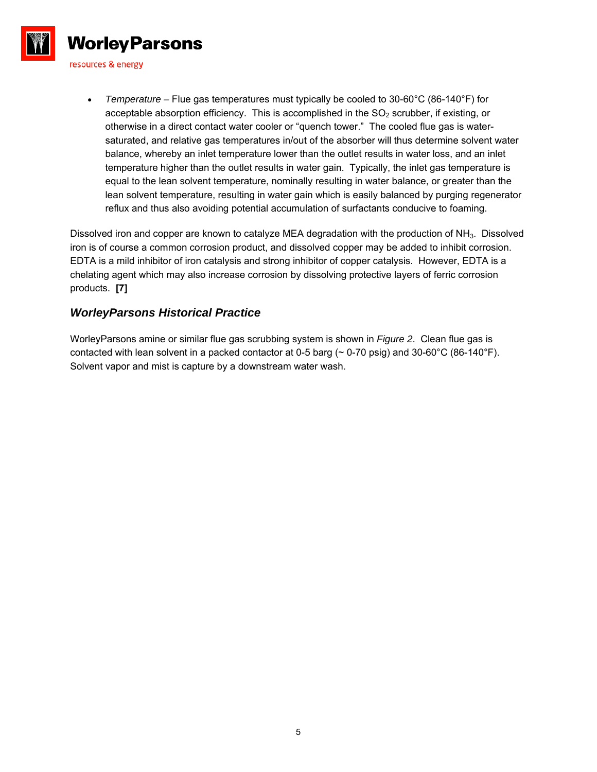

 *Temperature –* Flue gas temperatures must typically be cooled to 30-60°C (86-140°F) for acceptable absorption efficiency. This is accomplished in the  $SO<sub>2</sub>$  scrubber, if existing, or otherwise in a direct contact water cooler or "quench tower." The cooled flue gas is watersaturated, and relative gas temperatures in/out of the absorber will thus determine solvent water balance, whereby an inlet temperature lower than the outlet results in water loss, and an inlet temperature higher than the outlet results in water gain. Typically, the inlet gas temperature is equal to the lean solvent temperature, nominally resulting in water balance, or greater than the lean solvent temperature, resulting in water gain which is easily balanced by purging regenerator reflux and thus also avoiding potential accumulation of surfactants conducive to foaming.

Dissolved iron and copper are known to catalyze MEA degradation with the production of NH<sub>3</sub>. Dissolved iron is of course a common corrosion product, and dissolved copper may be added to inhibit corrosion. EDTA is a mild inhibitor of iron catalysis and strong inhibitor of copper catalysis. However, EDTA is a chelating agent which may also increase corrosion by dissolving protective layers of ferric corrosion products. **[7]** 

#### *WorleyParsons Historical Practice*

WorleyParsons amine or similar flue gas scrubbing system is shown in *Figure 2*. Clean flue gas is contacted with lean solvent in a packed contactor at 0-5 barg ( $\sim$  0-70 psig) and 30-60°C (86-140°F). Solvent vapor and mist is capture by a downstream water wash.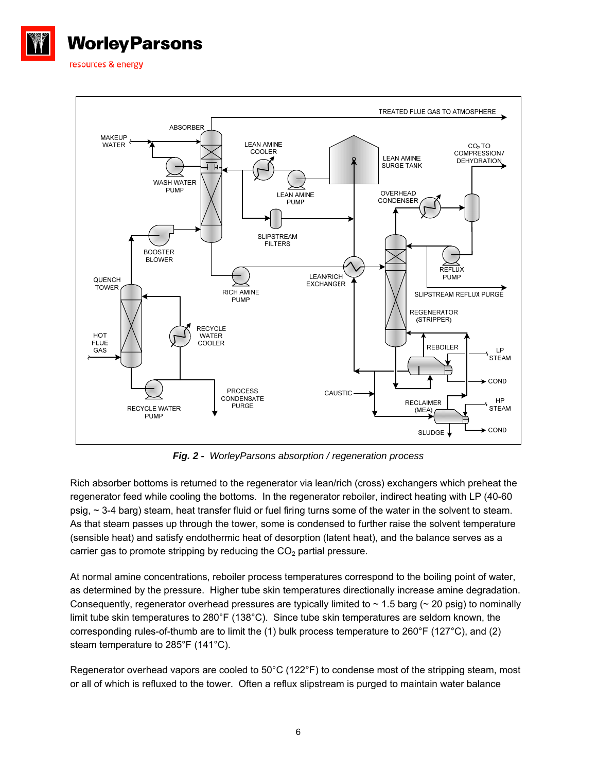



*Fig. 2 - WorleyParsons absorption / regeneration process* 

Rich absorber bottoms is returned to the regenerator via lean/rich (cross) exchangers which preheat the regenerator feed while cooling the bottoms. In the regenerator reboiler, indirect heating with LP (40-60 psig, ~ 3-4 barg) steam, heat transfer fluid or fuel firing turns some of the water in the solvent to steam. As that steam passes up through the tower, some is condensed to further raise the solvent temperature (sensible heat) and satisfy endothermic heat of desorption (latent heat), and the balance serves as a carrier gas to promote stripping by reducing the  $CO<sub>2</sub>$  partial pressure.

At normal amine concentrations, reboiler process temperatures correspond to the boiling point of water, as determined by the pressure. Higher tube skin temperatures directionally increase amine degradation. Consequently, regenerator overhead pressures are typically limited to  $\sim$  1.5 barg ( $\sim$  20 psig) to nominally limit tube skin temperatures to 280°F (138°C). Since tube skin temperatures are seldom known, the corresponding rules-of-thumb are to limit the (1) bulk process temperature to 260°F (127°C), and (2) steam temperature to 285°F (141°C).

Regenerator overhead vapors are cooled to 50°C (122°F) to condense most of the stripping steam, most or all of which is refluxed to the tower. Often a reflux slipstream is purged to maintain water balance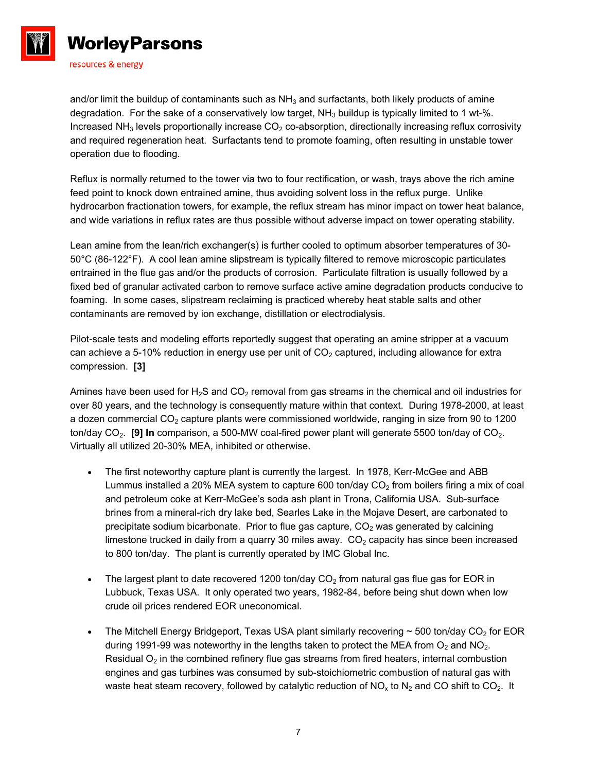

and/or limit the buildup of contaminants such as  $NH<sub>3</sub>$  and surfactants, both likely products of amine degradation. For the sake of a conservatively low target,  $NH<sub>3</sub>$  buildup is typically limited to 1 wt-%. Increased NH<sub>3</sub> levels proportionally increase  $CO<sub>2</sub>$  co-absorption, directionally increasing reflux corrosivity and required regeneration heat. Surfactants tend to promote foaming, often resulting in unstable tower operation due to flooding.

Reflux is normally returned to the tower via two to four rectification, or wash, trays above the rich amine feed point to knock down entrained amine, thus avoiding solvent loss in the reflux purge. Unlike hydrocarbon fractionation towers, for example, the reflux stream has minor impact on tower heat balance, and wide variations in reflux rates are thus possible without adverse impact on tower operating stability.

Lean amine from the lean/rich exchanger(s) is further cooled to optimum absorber temperatures of 30- 50°C (86-122°F). A cool lean amine slipstream is typically filtered to remove microscopic particulates entrained in the flue gas and/or the products of corrosion. Particulate filtration is usually followed by a fixed bed of granular activated carbon to remove surface active amine degradation products conducive to foaming. In some cases, slipstream reclaiming is practiced whereby heat stable salts and other contaminants are removed by ion exchange, distillation or electrodialysis.

Pilot-scale tests and modeling efforts reportedly suggest that operating an amine stripper at a vacuum can achieve a 5-10% reduction in energy use per unit of  $CO<sub>2</sub>$  captured, including allowance for extra compression. **[3]** 

Amines have been used for  $H_2S$  and  $CO_2$  removal from gas streams in the chemical and oil industries for over 80 years, and the technology is consequently mature within that context. During 1978-2000, at least a dozen commercial  $CO<sub>2</sub>$  capture plants were commissioned worldwide, ranging in size from 90 to 1200 ton/day CO<sub>2</sub>. **[9] In** comparison, a 500-MW coal-fired power plant will generate 5500 ton/day of CO<sub>2</sub>. Virtually all utilized 20-30% MEA, inhibited or otherwise.

- The first noteworthy capture plant is currently the largest. In 1978, Kerr-McGee and ABB Lummus installed a 20% MEA system to capture 600 ton/day  $CO<sub>2</sub>$  from boilers firing a mix of coal and petroleum coke at Kerr-McGee's soda ash plant in Trona, California USA. Sub-surface brines from a mineral-rich dry lake bed, Searles Lake in the Mojave Desert, are carbonated to precipitate sodium bicarbonate. Prior to flue gas capture,  $CO<sub>2</sub>$  was generated by calcining limestone trucked in daily from a quarry 30 miles away.  $CO<sub>2</sub>$  capacity has since been increased to 800 ton/day. The plant is currently operated by IMC Global Inc.
- The largest plant to date recovered 1200 ton/day  $CO<sub>2</sub>$  from natural gas flue gas for EOR in Lubbuck, Texas USA. It only operated two years, 1982-84, before being shut down when low crude oil prices rendered EOR uneconomical.
- The Mitchell Energy Bridgeport, Texas USA plant similarly recovering  $\sim$  500 ton/day CO<sub>2</sub> for EOR during 1991-99 was noteworthy in the lengths taken to protect the MEA from  $O_2$  and NO<sub>2</sub>. Residual  $O<sub>2</sub>$  in the combined refinery flue gas streams from fired heaters, internal combustion engines and gas turbines was consumed by sub-stoichiometric combustion of natural gas with waste heat steam recovery, followed by catalytic reduction of  $NO<sub>x</sub>$  to  $N<sub>2</sub>$  and CO shift to CO<sub>2</sub>. It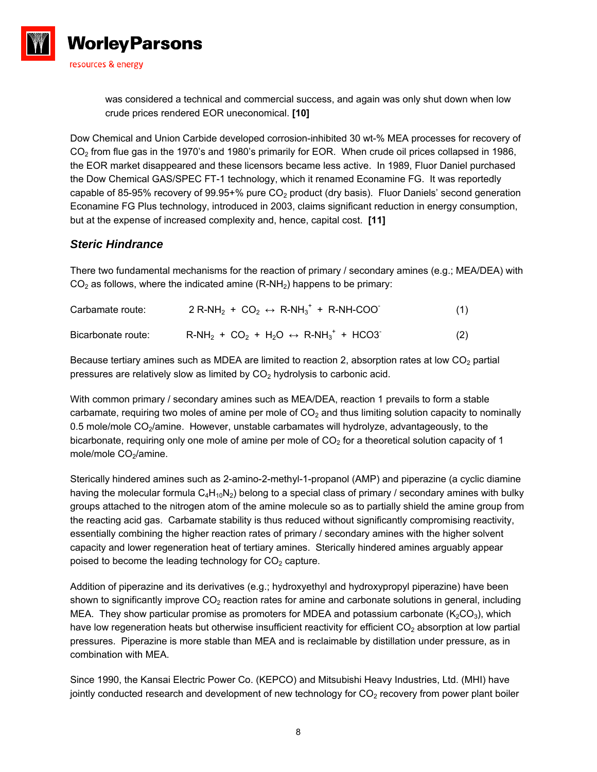

was considered a technical and commercial success, and again was only shut down when low crude prices rendered EOR uneconomical. **[10]** 

Dow Chemical and Union Carbide developed corrosion-inhibited 30 wt-% MEA processes for recovery of CO<sub>2</sub> from flue gas in the 1970's and 1980's primarily for EOR. When crude oil prices collapsed in 1986, the EOR market disappeared and these licensors became less active. In 1989, Fluor Daniel purchased the Dow Chemical GAS/SPEC FT-1 technology, which it renamed Econamine FG. It was reportedly capable of 85-95% recovery of 99.95+% pure  $CO<sub>2</sub>$  product (dry basis). Fluor Daniels' second generation Econamine FG Plus technology, introduced in 2003, claims significant reduction in energy consumption, but at the expense of increased complexity and, hence, capital cost. **[11]** 

#### *Steric Hindrance*

There two fundamental mechanisms for the reaction of primary / secondary amines (e.g.; MEA/DEA) with  $CO<sub>2</sub>$  as follows, where the indicated amine (R-NH<sub>2</sub>) happens to be primary:

| Carbamate route:   | $2$ R-NH <sub>2</sub> + CO <sub>2</sub> $\leftrightarrow$ R-NH <sub>3</sub> <sup>+</sup> + R-NH-COO <sup>-</sup> | (1) |
|--------------------|------------------------------------------------------------------------------------------------------------------|-----|
| Bicarbonate route: | $R-NH_2 + CO_2 + H_2O \leftrightarrow R-NH_3^+ + HCO3$                                                           | (2) |

Because tertiary amines such as MDEA are limited to reaction 2, absorption rates at low  $CO<sub>2</sub>$  partial pressures are relatively slow as limited by  $CO<sub>2</sub>$  hydrolysis to carbonic acid.

With common primary / secondary amines such as MEA/DEA, reaction 1 prevails to form a stable carbamate, requiring two moles of amine per mole of  $CO<sub>2</sub>$  and thus limiting solution capacity to nominally 0.5 mole/mole CO<sub>2</sub>/amine. However, unstable carbamates will hydrolyze, advantageously, to the bicarbonate, requiring only one mole of amine per mole of  $CO<sub>2</sub>$  for a theoretical solution capacity of 1 mole/mole CO<sub>2</sub>/amine.

Sterically hindered amines such as 2-amino-2-methyl-1-propanol (AMP) and piperazine (a cyclic diamine having the molecular formula  $C_4H_{10}N_2$ ) belong to a special class of primary / secondary amines with bulky groups attached to the nitrogen atom of the amine molecule so as to partially shield the amine group from the reacting acid gas. Carbamate stability is thus reduced without significantly compromising reactivity, essentially combining the higher reaction rates of primary / secondary amines with the higher solvent capacity and lower regeneration heat of tertiary amines. Sterically hindered amines arguably appear poised to become the leading technology for  $CO<sub>2</sub>$  capture.

Addition of piperazine and its derivatives (e.g.; hydroxyethyl and hydroxypropyl piperazine) have been shown to significantly improve  $CO<sub>2</sub>$  reaction rates for amine and carbonate solutions in general, including MEA. They show particular promise as promoters for MDEA and potassium carbonate  $(K_2CO_3)$ , which have low regeneration heats but otherwise insufficient reactivity for efficient CO<sub>2</sub> absorption at low partial pressures. Piperazine is more stable than MEA and is reclaimable by distillation under pressure, as in combination with MEA.

Since 1990, the Kansai Electric Power Co. (KEPCO) and Mitsubishi Heavy Industries, Ltd. (MHI) have jointly conducted research and development of new technology for  $CO<sub>2</sub>$  recovery from power plant boiler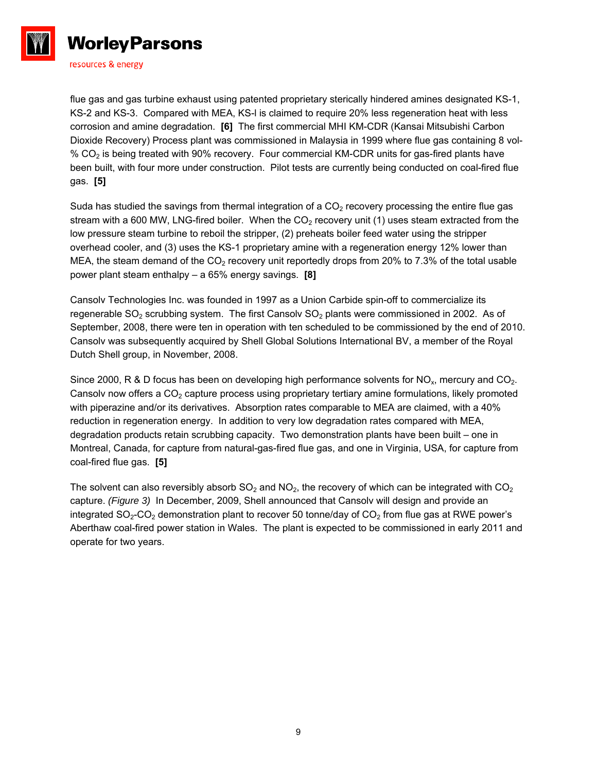

flue gas and gas turbine exhaust using patented proprietary sterically hindered amines designated KS-1, KS-2 and KS-3. Compared with MEA, KS-l is claimed to require 20% less regeneration heat with less corrosion and amine degradation. **[6]** The first commercial MHI KM-CDR (Kansai Mitsubishi Carbon Dioxide Recovery) Process plant was commissioned in Malaysia in 1999 where flue gas containing 8 vol- % CO<sub>2</sub> is being treated with 90% recovery. Four commercial KM-CDR units for gas-fired plants have been built, with four more under construction. Pilot tests are currently being conducted on coal-fired flue gas. **[5]** 

Suda has studied the savings from thermal integration of a  $CO<sub>2</sub>$  recovery processing the entire flue gas stream with a 600 MW, LNG-fired boiler. When the  $CO<sub>2</sub>$  recovery unit (1) uses steam extracted from the low pressure steam turbine to reboil the stripper, (2) preheats boiler feed water using the stripper overhead cooler, and (3) uses the KS-1 proprietary amine with a regeneration energy 12% lower than MEA, the steam demand of the  $CO<sub>2</sub>$  recovery unit reportedly drops from 20% to 7.3% of the total usable power plant steam enthalpy – a 65% energy savings. **[8]** 

Cansolv Technologies Inc. was founded in 1997 as a Union Carbide spin-off to commercialize its regenerable  $SO<sub>2</sub>$  scrubbing system. The first Cansolv  $SO<sub>2</sub>$  plants were commissioned in 2002. As of September, 2008, there were ten in operation with ten scheduled to be commissioned by the end of 2010. Cansolv was subsequently acquired by Shell Global Solutions International BV, a member of the Royal Dutch Shell group, in November, 2008.

Since 2000, R & D focus has been on developing high performance solvents for  $NO_x$ , mercury and  $CO_2$ . Cansolv now offers a  $CO<sub>2</sub>$  capture process using proprietary tertiary amine formulations, likely promoted with piperazine and/or its derivatives. Absorption rates comparable to MEA are claimed, with a 40% reduction in regeneration energy. In addition to very low degradation rates compared with MEA, degradation products retain scrubbing capacity. Two demonstration plants have been built – one in Montreal, Canada, for capture from natural-gas-fired flue gas, and one in Virginia, USA, for capture from coal-fired flue gas. **[5]**

The solvent can also reversibly absorb  $SO_2$  and  $NO_2$ , the recovery of which can be integrated with  $CO_2$ capture. *(Figure 3)* In December, 2009, Shell announced that Cansolv will design and provide an integrated  $SO_2$ -CO<sub>2</sub> demonstration plant to recover 50 tonne/day of CO<sub>2</sub> from flue gas at RWE power's Aberthaw coal-fired power station in Wales. The plant is expected to be commissioned in early 2011 and operate for two years.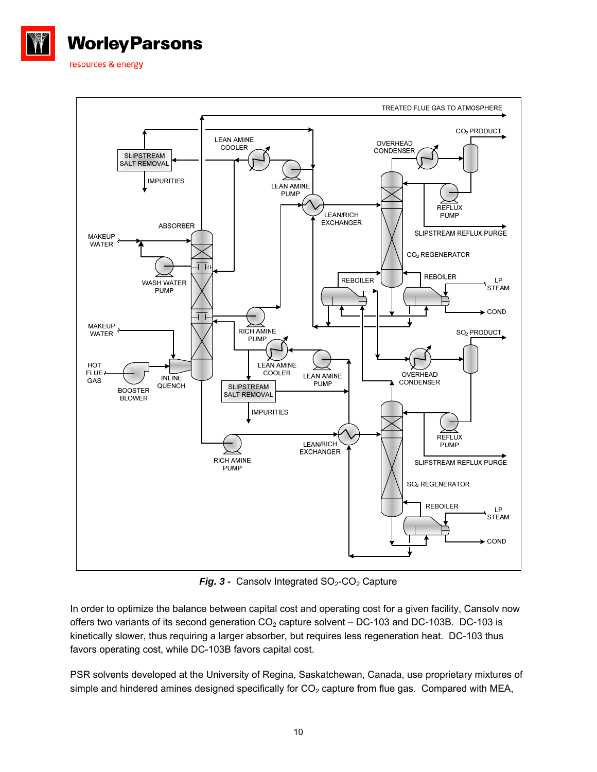



**Fig. 3 - Cansolv Integrated**  $SO_2$ **-CO<sub>2</sub> Capture** 

In order to optimize the balance between capital cost and operating cost for a given facility, Cansolv now offers two variants of its second generation  $CO<sub>2</sub>$  capture solvent – DC-103 and DC-103B. DC-103 is kinetically slower, thus requiring a larger absorber, but requires less regeneration heat. DC-103 thus favors operating cost, while DC-103B favors capital cost.

PSR solvents developed at the University of Regina, Saskatchewan, Canada, use proprietary mixtures of simple and hindered amines designed specifically for  $CO<sub>2</sub>$  capture from flue gas. Compared with MEA,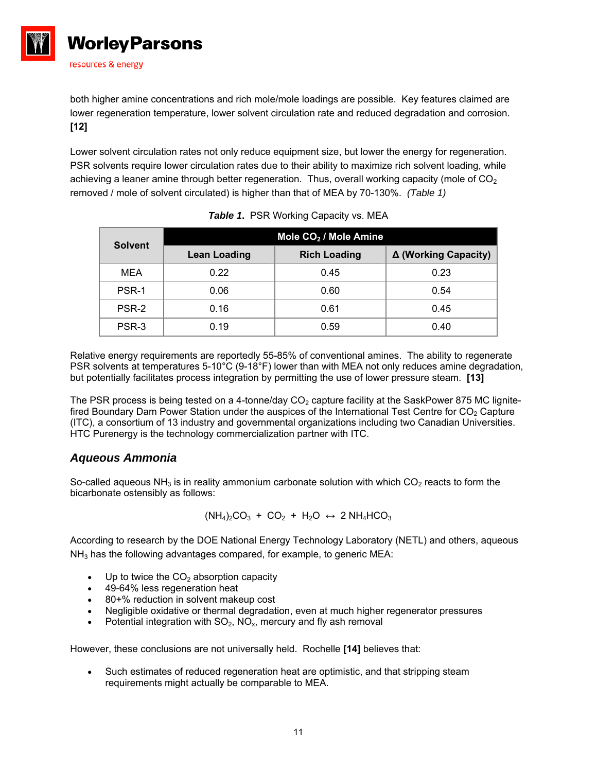

both higher amine concentrations and rich mole/mole loadings are possible. Key features claimed are lower regeneration temperature, lower solvent circulation rate and reduced degradation and corrosion. **[12]** 

Lower solvent circulation rates not only reduce equipment size, but lower the energy for regeneration. PSR solvents require lower circulation rates due to their ability to maximize rich solvent loading, while achieving a leaner amine through better regeneration. Thus, overall working capacity (mole of  $CO<sub>2</sub>$ ) removed / mole of solvent circulated) is higher than that of MEA by 70-130%. *(Table 1)* 

| <b>Solvent</b> | Mole CO <sub>2</sub> / Mole Amine |                     |                      |  |
|----------------|-----------------------------------|---------------------|----------------------|--|
|                | <b>Lean Loading</b>               | <b>Rich Loading</b> | Δ (Working Capacity) |  |
| <b>MEA</b>     | 0.22                              | 0.45                | 0.23                 |  |
| PSR-1          | 0.06                              | 0.60                | 0.54                 |  |
| PSR-2          | 0.16                              | 0.61                | 0.45                 |  |
| PSR-3          | 0.19                              | 0.59                | 0.40                 |  |

|  | <b>Table 1. PSR Working Capacity vs. MEA</b> |  |
|--|----------------------------------------------|--|
|  |                                              |  |

Relative energy requirements are reportedly 55-85% of conventional amines. The ability to regenerate PSR solvents at temperatures 5-10°C (9-18°F) lower than with MEA not only reduces amine degradation, but potentially facilitates process integration by permitting the use of lower pressure steam. **[13]** 

The PSR process is being tested on a 4-tonne/day  $CO<sub>2</sub>$  capture facility at the SaskPower 875 MC lignitefired Boundary Dam Power Station under the auspices of the International Test Centre for  $CO<sub>2</sub>$  Capture (ITC), a consortium of 13 industry and governmental organizations including two Canadian Universities. HTC Purenergy is the technology commercialization partner with ITC.

## *Aqueous Ammonia*

So-called aqueous  $NH<sub>3</sub>$  is in reality ammonium carbonate solution with which CO<sub>2</sub> reacts to form the bicarbonate ostensibly as follows:

$$
(NH_4)_2CO_3 + CO_2 + H_2O \leftrightarrow 2 NH_4HCO_3
$$

According to research by the DOE National Energy Technology Laboratory (NETL) and others, aqueous  $NH<sub>3</sub>$  has the following advantages compared, for example, to generic MEA:

- $\bullet$  Up to twice the CO<sub>2</sub> absorption capacity
- 49-64% less regeneration heat
- 80+% reduction in solvent makeup cost
- Negligible oxidative or thermal degradation, even at much higher regenerator pressures
- Potential integration with  $SO_2$ ,  $NO_x$ , mercury and fly ash removal

However, these conclusions are not universally held. Rochelle **[14]** believes that:

 Such estimates of reduced regeneration heat are optimistic, and that stripping steam requirements might actually be comparable to MEA.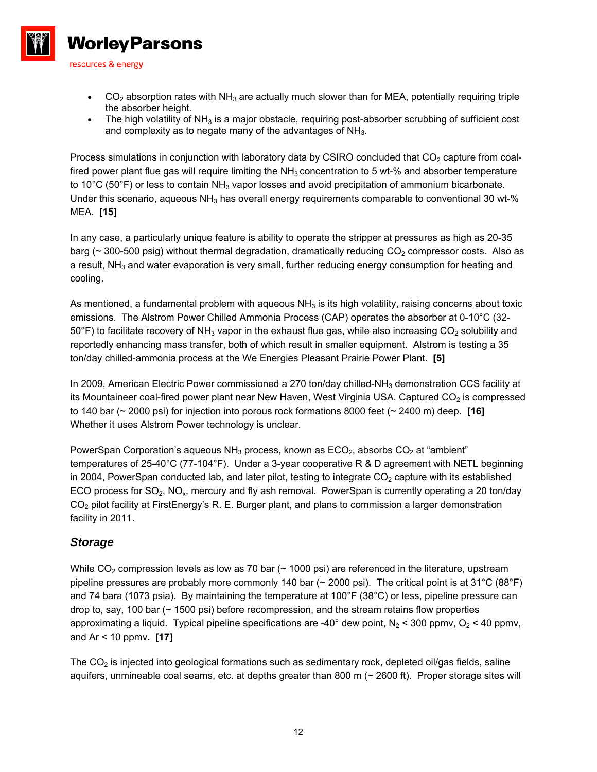

- $\bullet$  CO<sub>2</sub> absorption rates with NH<sub>3</sub> are actually much slower than for MEA, potentially requiring triple the absorber height.
- The high volatility of  $NH<sub>3</sub>$  is a major obstacle, requiring post-absorber scrubbing of sufficient cost and complexity as to negate many of the advantages of  $NH<sub>3</sub>$ .

Process simulations in conjunction with laboratory data by CSIRO concluded that  $CO<sub>2</sub>$  capture from coalfired power plant flue gas will require limiting the  $NH<sub>3</sub>$  concentration to 5 wt-% and absorber temperature to 10 $^{\circ}$ C (50 $^{\circ}$ F) or less to contain NH<sub>3</sub> vapor losses and avoid precipitation of ammonium bicarbonate. Under this scenario, aqueous  $NH<sub>3</sub>$  has overall energy requirements comparable to conventional 30 wt-% MEA. **[15]** 

In any case, a particularly unique feature is ability to operate the stripper at pressures as high as 20-35 barg ( $\sim$  300-500 psig) without thermal degradation, dramatically reducing CO<sub>2</sub> compressor costs. Also as a result,  $NH<sub>3</sub>$  and water evaporation is very small, further reducing energy consumption for heating and cooling.

As mentioned, a fundamental problem with aqueous  $NH<sub>3</sub>$  is its high volatility, raising concerns about toxic emissions. The Alstrom Power Chilled Ammonia Process (CAP) operates the absorber at 0-10°C (32-  $50^{\circ}$ F) to facilitate recovery of NH<sub>3</sub> vapor in the exhaust flue gas, while also increasing CO<sub>2</sub> solubility and reportedly enhancing mass transfer, both of which result in smaller equipment. Alstrom is testing a 35 ton/day chilled-ammonia process at the We Energies Pleasant Prairie Power Plant. **[5]** 

In 2009, American Electric Power commissioned a 270 ton/day chilled-NH<sub>3</sub> demonstration CCS facility at its Mountaineer coal-fired power plant near New Haven, West Virginia USA. Captured  $CO<sub>2</sub>$  is compressed to 140 bar (~ 2000 psi) for injection into porous rock formations 8000 feet (~ 2400 m) deep. **[16]** Whether it uses Alstrom Power technology is unclear.

PowerSpan Corporation's aqueous  $NH<sub>3</sub>$  process, known as  $ECO<sub>2</sub>$ , absorbs  $CO<sub>2</sub>$  at "ambient" temperatures of 25-40°C (77-104°F). Under a 3-year cooperative R & D agreement with NETL beginning in 2004, PowerSpan conducted lab, and later pilot, testing to integrate  $CO<sub>2</sub>$  capture with its established ECO process for  $SO_2$ , NO<sub>x</sub>, mercury and fly ash removal. PowerSpan is currently operating a 20 ton/day CO<sub>2</sub> pilot facility at FirstEnergy's R. E. Burger plant, and plans to commission a larger demonstration facility in 2011.

## *Storage*

While  $CO<sub>2</sub>$  compression levels as low as 70 bar ( $\sim$  1000 psi) are referenced in the literature, upstream pipeline pressures are probably more commonly 140 bar (~ 2000 psi). The critical point is at 31°C (88°F) and 74 bara (1073 psia). By maintaining the temperature at 100°F (38°C) or less, pipeline pressure can drop to, say, 100 bar (~ 1500 psi) before recompression, and the stream retains flow properties approximating a liquid. Typical pipeline specifications are -40° dew point,  $N_2$  < 300 ppmv,  $O_2$  < 40 ppmv, and Ar < 10 ppmv. **[17]**

The  $CO<sub>2</sub>$  is injected into geological formations such as sedimentary rock, depleted oil/gas fields, saline aquifers, unmineable coal seams, etc. at depths greater than 800 m  $($   $\sim$  2600 ft). Proper storage sites will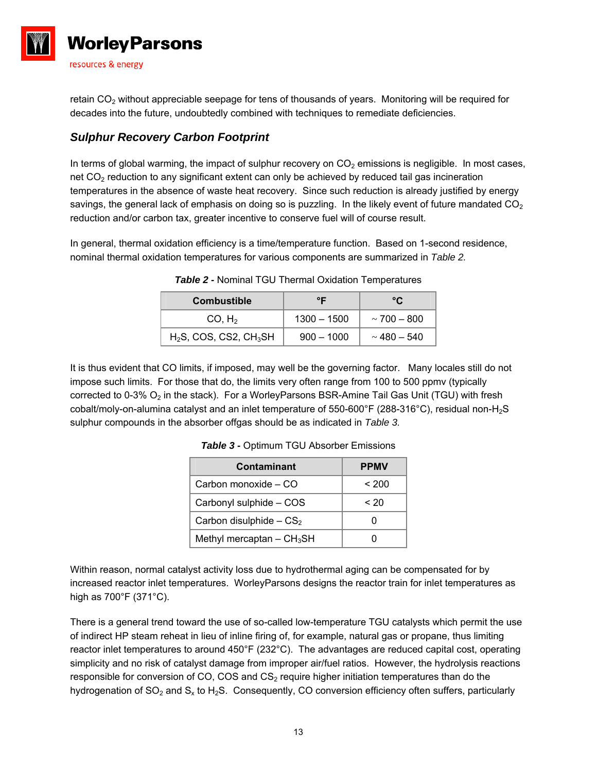

retain  $CO<sub>2</sub>$  without appreciable seepage for tens of thousands of years. Monitoring will be required for decades into the future, undoubtedly combined with techniques to remediate deficiencies.

# *Sulphur Recovery Carbon Footprint*

In terms of global warming, the impact of sulphur recovery on  $CO<sub>2</sub>$  emissions is negligible. In most cases, net CO<sub>2</sub> reduction to any significant extent can only be achieved by reduced tail gas incineration temperatures in the absence of waste heat recovery. Since such reduction is already justified by energy savings, the general lack of emphasis on doing so is puzzling. In the likely event of future mandated  $CO<sub>2</sub>$ reduction and/or carbon tax, greater incentive to conserve fuel will of course result.

In general, thermal oxidation efficiency is a time/temperature function. Based on 1-second residence, nominal thermal oxidation temperatures for various components are summarized in *Table 2.*

| <b>Combustible</b>            | ᅂ             | ∘r                 |  |
|-------------------------------|---------------|--------------------|--|
| CO, H <sub>2</sub>            | $1300 - 1500$ | $\sim$ 700 $-$ 800 |  |
| $H_2S$ , COS, CS2, CH $_3$ SH | $900 - 1000$  | $\sim$ 480 – 540   |  |

*Table 2 -* Nominal TGU Thermal Oxidation Temperatures

It is thus evident that CO limits, if imposed, may well be the governing factor. Many locales still do not impose such limits. For those that do, the limits very often range from 100 to 500 ppmv (typically corrected to 0-3%  $O_2$  in the stack). For a WorleyParsons BSR-Amine Tail Gas Unit (TGU) with fresh cobalt/moly-on-alumina catalyst and an inlet temperature of 550-600°F (288-316°C), residual non-H2S sulphur compounds in the absorber offgas should be as indicated in *Table 3.*

| Contaminant                             | <b>PPMV</b> |
|-----------------------------------------|-------------|
| Carbon monoxide - CO                    | < 200       |
| Carbonyl sulphide - COS                 | ~120        |
| Carbon disulphide $-CS_2$               |             |
| Methyl mercaptan $-$ CH <sub>3</sub> SH |             |

*Table 3 -* Optimum TGU Absorber Emissions

Within reason, normal catalyst activity loss due to hydrothermal aging can be compensated for by increased reactor inlet temperatures. WorleyParsons designs the reactor train for inlet temperatures as high as 700°F (371°C).

There is a general trend toward the use of so-called low-temperature TGU catalysts which permit the use of indirect HP steam reheat in lieu of inline firing of, for example, natural gas or propane, thus limiting reactor inlet temperatures to around 450°F (232°C). The advantages are reduced capital cost, operating simplicity and no risk of catalyst damage from improper air/fuel ratios. However, the hydrolysis reactions responsible for conversion of CO, COS and  $CS<sub>2</sub>$  require higher initiation temperatures than do the hydrogenation of  $SO_2$  and  $S_x$  to  $H_2S$ . Consequently, CO conversion efficiency often suffers, particularly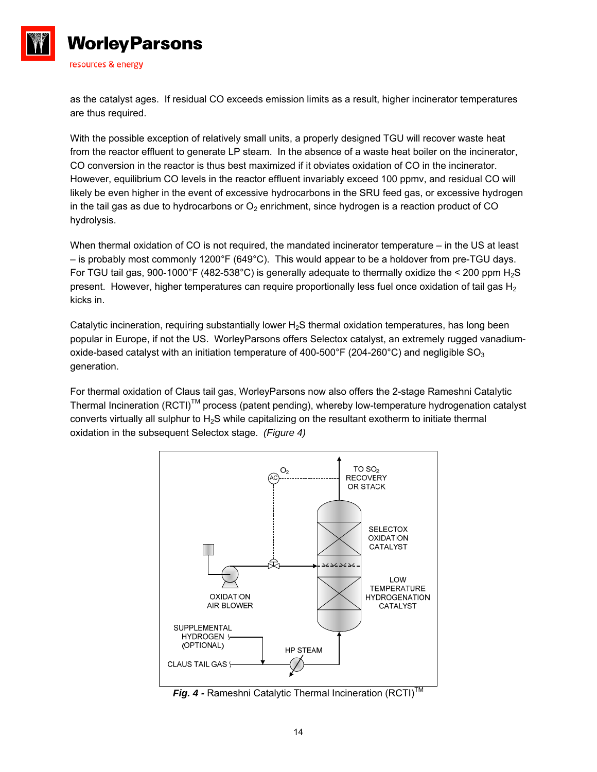

**Worley Parsons** 

resources & energy

as the catalyst ages. If residual CO exceeds emission limits as a result, higher incinerator temperatures are thus required.

With the possible exception of relatively small units, a properly designed TGU will recover waste heat from the reactor effluent to generate LP steam. In the absence of a waste heat boiler on the incinerator, CO conversion in the reactor is thus best maximized if it obviates oxidation of CO in the incinerator. However, equilibrium CO levels in the reactor effluent invariably exceed 100 ppmv, and residual CO will likely be even higher in the event of excessive hydrocarbons in the SRU feed gas, or excessive hydrogen in the tail gas as due to hydrocarbons or  $O_2$  enrichment, since hydrogen is a reaction product of CO hydrolysis.

When thermal oxidation of CO is not required, the mandated incinerator temperature – in the US at least – is probably most commonly 1200°F (649°C). This would appear to be a holdover from pre-TGU days. For TGU tail gas, 900-1000°F (482-538°C) is generally adequate to thermally oxidize the < 200 ppm  $H_2S$ present. However, higher temperatures can require proportionally less fuel once oxidation of tail gas  $H_2$ kicks in.

Catalytic incineration, requiring substantially lower  $H_2S$  thermal oxidation temperatures, has long been popular in Europe, if not the US. WorleyParsons offers Selectox catalyst, an extremely rugged vanadiumoxide-based catalyst with an initiation temperature of 400-500°F (204-260°C) and negligible  $SO_3$ generation.

For thermal oxidation of Claus tail gas, WorleyParsons now also offers the 2-stage Rameshni Catalytic Thermal Incineration (RCTI)<sup>TM</sup> process (patent pending), whereby low-temperature hydrogenation catalyst converts virtually all sulphur to H<sub>2</sub>S while capitalizing on the resultant exotherm to initiate thermal oxidation in the subsequent Selectox stage. *(Figure 4)* 



**Fig. 4 - Rameshni Catalytic Thermal Incineration (RCTI)™**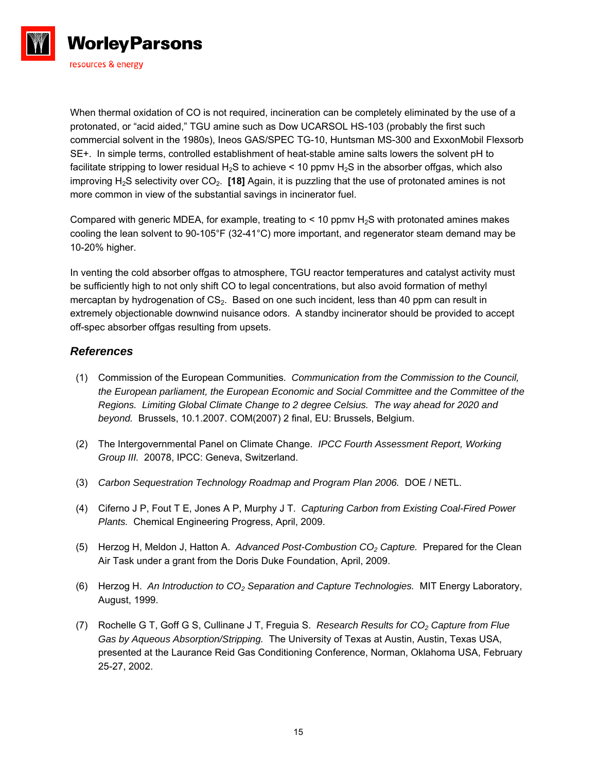

When thermal oxidation of CO is not required, incineration can be completely eliminated by the use of a protonated, or "acid aided," TGU amine such as Dow UCARSOL HS-103 (probably the first such commercial solvent in the 1980s), Ineos GAS/SPEC TG-10, Huntsman MS-300 and ExxonMobil Flexsorb SE+. In simple terms, controlled establishment of heat-stable amine salts lowers the solvent pH to facilitate stripping to lower residual  $H_2S$  to achieve < 10 ppmv  $H_2S$  in the absorber offgas, which also improving H2S selectivity over CO2. **[18]** Again, it is puzzling that the use of protonated amines is not more common in view of the substantial savings in incinerator fuel.

Compared with generic MDEA, for example, treating to  $<$  10 ppmv H<sub>2</sub>S with protonated amines makes cooling the lean solvent to 90-105°F (32-41°C) more important, and regenerator steam demand may be 10-20% higher.

In venting the cold absorber offgas to atmosphere, TGU reactor temperatures and catalyst activity must be sufficiently high to not only shift CO to legal concentrations, but also avoid formation of methyl mercaptan by hydrogenation of  $CS<sub>2</sub>$ . Based on one such incident, less than 40 ppm can result in extremely objectionable downwind nuisance odors. A standby incinerator should be provided to accept off-spec absorber offgas resulting from upsets.

## *References*

- (1) Commission of the European Communities. *Communication from the Commission to the Council, the European parliament, the European Economic and Social Committee and the Committee of the Regions. Limiting Global Climate Change to 2 degree Celsius. The way ahead for 2020 and beyond.* Brussels, 10.1.2007. COM(2007) 2 final, EU: Brussels, Belgium.
- (2) The Intergovernmental Panel on Climate Change. *IPCC Fourth Assessment Report, Working Group III.* 20078, IPCC: Geneva, Switzerland.
- (3) *Carbon Sequestration Technology Roadmap and Program Plan 2006.* DOE / NETL.
- (4) Ciferno J P, Fout T E, Jones A P, Murphy J T. *Capturing Carbon from Existing Coal-Fired Power Plants.* Chemical Engineering Progress, April, 2009.
- (5) Herzog H, Meldon J, Hatton A. *Advanced Post-Combustion CO2 Capture.* Prepared for the Clean Air Task under a grant from the Doris Duke Foundation, April, 2009.
- (6) Herzog H. *An Introduction to CO2 Separation and Capture Technologies.* MIT Energy Laboratory, August, 1999.
- (7) Rochelle G T, Goff G S, Cullinane J T, Freguia S. *Research Results for CO2 Capture from Flue Gas by Aqueous Absorption/Stripping.* The University of Texas at Austin, Austin, Texas USA, presented at the Laurance Reid Gas Conditioning Conference, Norman, Oklahoma USA, February 25-27, 2002.